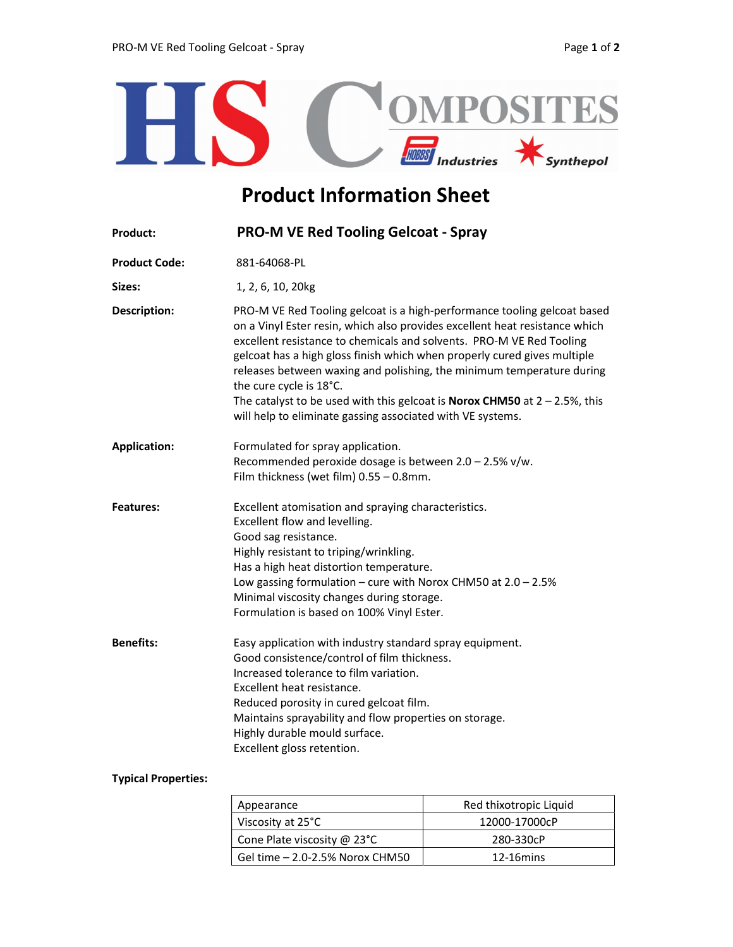

## Product Information Sheet

| <b>Product:</b>      | <b>PRO-M VE Red Tooling Gelcoat - Spray</b>                                                                                                                                                                                                                                                                                                                                                                                                                                                                                                                           |  |
|----------------------|-----------------------------------------------------------------------------------------------------------------------------------------------------------------------------------------------------------------------------------------------------------------------------------------------------------------------------------------------------------------------------------------------------------------------------------------------------------------------------------------------------------------------------------------------------------------------|--|
| <b>Product Code:</b> | 881-64068-PL                                                                                                                                                                                                                                                                                                                                                                                                                                                                                                                                                          |  |
| Sizes:               | 1, 2, 6, 10, 20kg                                                                                                                                                                                                                                                                                                                                                                                                                                                                                                                                                     |  |
| <b>Description:</b>  | PRO-M VE Red Tooling gelcoat is a high-performance tooling gelcoat based<br>on a Vinyl Ester resin, which also provides excellent heat resistance which<br>excellent resistance to chemicals and solvents. PRO-M VE Red Tooling<br>gelcoat has a high gloss finish which when properly cured gives multiple<br>releases between waxing and polishing, the minimum temperature during<br>the cure cycle is 18°C.<br>The catalyst to be used with this gelcoat is <b>Norox CHM50</b> at $2 - 2.5$ %, this<br>will help to eliminate gassing associated with VE systems. |  |
| <b>Application:</b>  | Formulated for spray application.<br>Recommended peroxide dosage is between $2.0 - 2.5\%$ v/w.<br>Film thickness (wet film) $0.55 - 0.8$ mm.                                                                                                                                                                                                                                                                                                                                                                                                                          |  |
| <b>Features:</b>     | Excellent atomisation and spraying characteristics.<br>Excellent flow and levelling.<br>Good sag resistance.<br>Highly resistant to triping/wrinkling.<br>Has a high heat distortion temperature.<br>Low gassing formulation – cure with Norox CHM50 at $2.0 - 2.5%$<br>Minimal viscosity changes during storage.<br>Formulation is based on 100% Vinyl Ester.                                                                                                                                                                                                        |  |
| <b>Benefits:</b>     | Easy application with industry standard spray equipment.<br>Good consistence/control of film thickness.<br>Increased tolerance to film variation.<br>Excellent heat resistance.<br>Reduced porosity in cured gelcoat film.<br>Maintains sprayability and flow properties on storage.<br>Highly durable mould surface.<br>Excellent gloss retention.                                                                                                                                                                                                                   |  |

## Typical Properties:

| Appearance                      | Red thixotropic Liquid |  |
|---------------------------------|------------------------|--|
| Viscosity at 25°C               | 12000-17000cP          |  |
| Cone Plate viscosity @ 23°C     | 280-330cP              |  |
| Gel time - 2.0-2.5% Norox CHM50 | $12-16$ mins           |  |